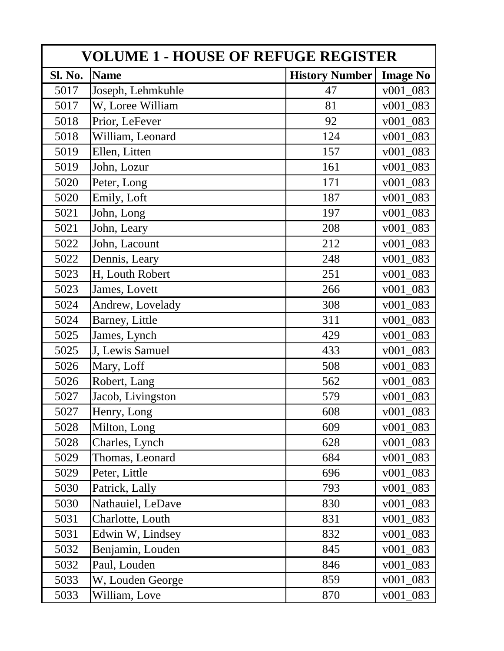| <b>VOLUME 1 - HOUSE OF REFUGE REGISTER</b> |                   |                       |                 |  |
|--------------------------------------------|-------------------|-----------------------|-----------------|--|
| Sl. No.                                    | <b>Name</b>       | <b>History Number</b> | <b>Image No</b> |  |
| 5017                                       | Joseph, Lehmkuhle | 47                    | $v001_083$      |  |
| 5017                                       | W, Loree William  | 81                    | v001 083        |  |
| 5018                                       | Prior, LeFever    | 92                    | v001 083        |  |
| 5018                                       | William, Leonard  | 124                   | $v001_083$      |  |
| 5019                                       | Ellen, Litten     | 157                   | v001 083        |  |
| 5019                                       | John, Lozur       | 161                   | v001 083        |  |
| 5020                                       | Peter, Long       | 171                   | $v001_083$      |  |
| 5020                                       | Emily, Loft       | 187                   | $v001_083$      |  |
| 5021                                       | John, Long        | 197                   | v001 083        |  |
| 5021                                       | John, Leary       | 208                   | v001 083        |  |
| 5022                                       | John, Lacount     | 212                   | v001 083        |  |
| 5022                                       | Dennis, Leary     | 248                   | v001 083        |  |
| 5023                                       | H, Louth Robert   | 251                   | v001 083        |  |
| 5023                                       | James, Lovett     | 266                   | $v001_083$      |  |
| 5024                                       | Andrew, Lovelady  | 308                   | v001 083        |  |
| 5024                                       | Barney, Little    | 311                   | $v001_083$      |  |
| 5025                                       | James, Lynch      | 429                   | $v001_083$      |  |
| 5025                                       | J, Lewis Samuel   | 433                   | v001 083        |  |
| 5026                                       | Mary, Loff        | 508                   | v001 083        |  |
| 5026                                       | Robert, Lang      | 562                   | $v001_083$      |  |
| 5027                                       | Jacob, Livingston | 579                   | v001 083        |  |
| 5027                                       | Henry, Long       | 608                   | v001 083        |  |
| 5028                                       | Milton, Long      | 609                   | $-083$<br>v001  |  |
| 5028                                       | Charles, Lynch    | 628                   | v001<br>083     |  |
| 5029                                       | Thomas, Leonard   | 684                   | v001 083        |  |
| 5029                                       | Peter, Little     | 696                   | $v001_083$      |  |
| 5030                                       | Patrick, Lally    | 793                   | $v001_083$      |  |
| 5030                                       | Nathauiel, LeDave | 830                   | v001 083        |  |
| 5031                                       | Charlotte, Louth  | 831                   | v001_083        |  |
| 5031                                       | Edwin W, Lindsey  | 832                   | $v001_083$      |  |
| 5032                                       | Benjamin, Louden  | 845                   | $v001_083$      |  |
| 5032                                       | Paul, Louden      | 846                   | v001 083        |  |
| 5033                                       | W, Louden George  | 859                   | $v001_083$      |  |
| 5033                                       | William, Love     | 870                   | v001 083        |  |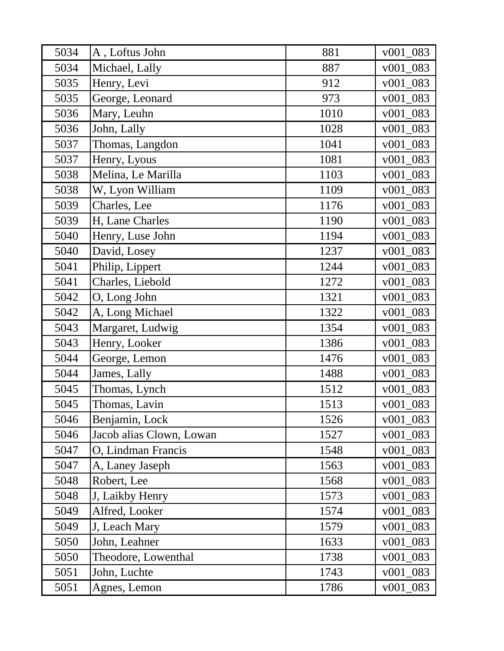| 5034 | A, Loftus John           | 881  | $v001_083$     |
|------|--------------------------|------|----------------|
| 5034 | Michael, Lally           | 887  | $v001_083$     |
| 5035 | Henry, Levi              | 912  | $v001_083$     |
| 5035 | George, Leonard          | 973  | $v001_083$     |
| 5036 | Mary, Leuhn              | 1010 | $v001_083$     |
| 5036 | John, Lally              | 1028 | $v001_083$     |
| 5037 | Thomas, Langdon          | 1041 | $v001_083$     |
| 5037 | Henry, Lyous             | 1081 | v001 083       |
| 5038 | Melina, Le Marilla       | 1103 | v001 083       |
| 5038 | W, Lyon William          | 1109 | $v001_083$     |
| 5039 | Charles, Lee             | 1176 | $v001_083$     |
| 5039 | H, Lane Charles          | 1190 | $v001\_083$    |
| 5040 | Henry, Luse John         | 1194 | $v001_083$     |
| 5040 | David, Losey             | 1237 | $v001_083$     |
| 5041 | Philip, Lippert          | 1244 | $v001_083$     |
| 5041 | Charles, Liebold         | 1272 | v001<br>$-083$ |
| 5042 | O, Long John             | 1321 | $v001_083$     |
| 5042 | A, Long Michael          | 1322 | $v001_083$     |
| 5043 | Margaret, Ludwig         | 1354 | v001 083       |
| 5043 | Henry, Looker            | 1386 | $v001_083$     |
| 5044 | George, Lemon            | 1476 | $v001_083$     |
| 5044 | James, Lally             | 1488 | $v001_083$     |
| 5045 | Thomas, Lynch            | 1512 | $v001_083$     |
| 5045 | Thomas, Lavin            | 1513 | v001 083       |
| 5046 | Benjamin, Lock           | 1526 | v001 083       |
| 5046 | Jacob alias Clown, Lowan | 1527 | $v001_083$     |
| 5047 | O, Lindman Francis       | 1548 | $v001_083$     |
| 5047 | A, Laney Jaseph          | 1563 | $v001_083$     |
| 5048 | Robert, Lee              | 1568 | $v001_083$     |
| 5048 | J, Laikby Henry          | 1573 | v001 083       |
| 5049 | Alfred, Looker           | 1574 | $v001_083$     |
| 5049 | J, Leach Mary            | 1579 | $v001_083$     |
| 5050 | John, Leahner            | 1633 | $v001_083$     |
| 5050 | Theodore, Lowenthal      | 1738 | $v001_083$     |
| 5051 | John, Luchte             | 1743 | $v001_083$     |
| 5051 | Agnes, Lemon             | 1786 | v001 083       |